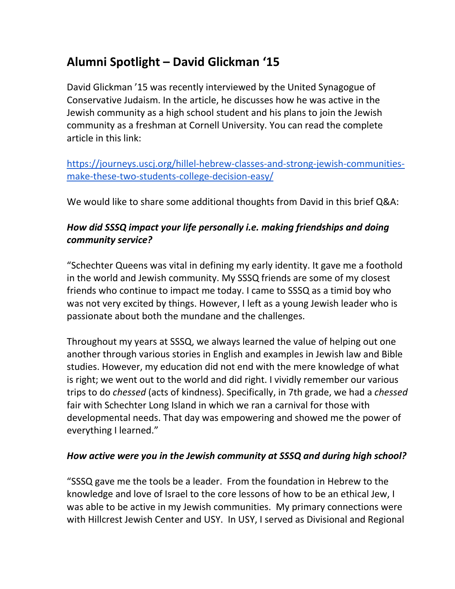# **Alumni Spotlight – David Glickman '15**

David Glickman '15 was recently interviewed by the United Synagogue of Conservative Judaism. In the article, he discusses how he was active in the Jewish community as a high school student and his plans to join the Jewish community as a freshman at Cornell University. You can read the complete article in this link:

[https://journeys.uscj.org/hillel-hebrew-classes-and-strong-jewish-communities](https://journeys.uscj.org/hillel-hebrew-classes-and-strong-jewish-communities-make-these-two-students-college-decision-easy/)[make-these-two-students-college-decision-easy/](https://journeys.uscj.org/hillel-hebrew-classes-and-strong-jewish-communities-make-these-two-students-college-decision-easy/)

We would like to share some additional thoughts from David in this brief Q&A:

# *How did SSSQ impact your life personally i.e. making friendships and doing community service?*

"Schechter Queens was vital in defining my early identity. It gave me a foothold in the world and Jewish community. My SSSQ friends are some of my closest friends who continue to impact me today. I came to SSSQ as a timid boy who was not very excited by things. However, I left as a young Jewish leader who is passionate about both the mundane and the challenges.

Throughout my years at SSSQ, we always learned the value of helping out one another through various stories in English and examples in Jewish law and Bible studies. However, my education did not end with the mere knowledge of what is right; we went out to the world and did right. I vividly remember our various trips to do *chessed* (acts of kindness). Specifically, in 7th grade, we had a *chessed* fair with Schechter Long Island in which we ran a carnival for those with developmental needs. That day was empowering and showed me the power of everything I learned."

#### *How active were you in the Jewish community at SSSQ and during high school?*

"SSSQ gave me the tools be a leader. From the foundation in Hebrew to the knowledge and love of Israel to the core lessons of how to be an ethical Jew, I was able to be active in my Jewish communities. My primary connections were with Hillcrest Jewish Center and USY. In USY, I served as Divisional and Regional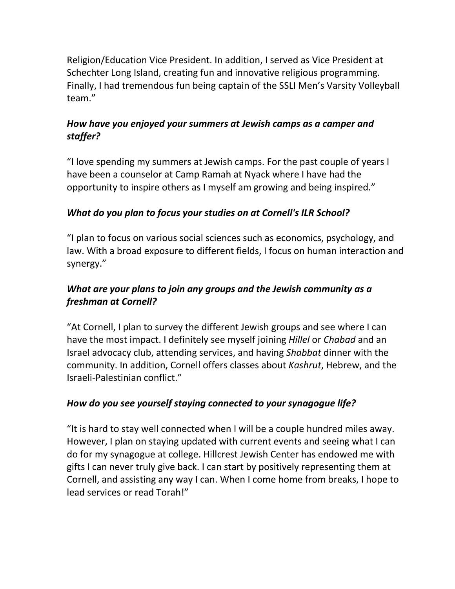Religion/Education Vice President. In addition, I served as Vice President at Schechter Long Island, creating fun and innovative religious programming. Finally, I had tremendous fun being captain of the SSLI Men's Varsity Volleyball team."

#### *How have you enjoyed your summers at Jewish camps as a camper and staffer?*

"I love spending my summers at Jewish camps. For the past couple of years I have been a counselor at Camp Ramah at Nyack where I have had the opportunity to inspire others as I myself am growing and being inspired."

## *What do you plan to focus your studies on at Cornell's ILR School?*

"I plan to focus on various social sciences such as economics, psychology, and law. With a broad exposure to different fields, I focus on human interaction and synergy."

## *What are your plans to join any groups and the Jewish community as a freshman at Cornell?*

"At Cornell, I plan to survey the different Jewish groups and see where I can have the most impact. I definitely see myself joining *Hillel* or *Chabad* and an Israel advocacy club, attending services, and having *Shabbat* dinner with the community. In addition, Cornell offers classes about *Kashrut*, Hebrew, and the Israeli-Palestinian conflict."

## *How do you see yourself staying connected to your synagogue life?*

"It is hard to stay well connected when I will be a couple hundred miles away. However, I plan on staying updated with current events and seeing what I can do for my synagogue at college. Hillcrest Jewish Center has endowed me with gifts I can never truly give back. I can start by positively representing them at Cornell, and assisting any way I can. When I come home from breaks, I hope to lead services or read Torah!"